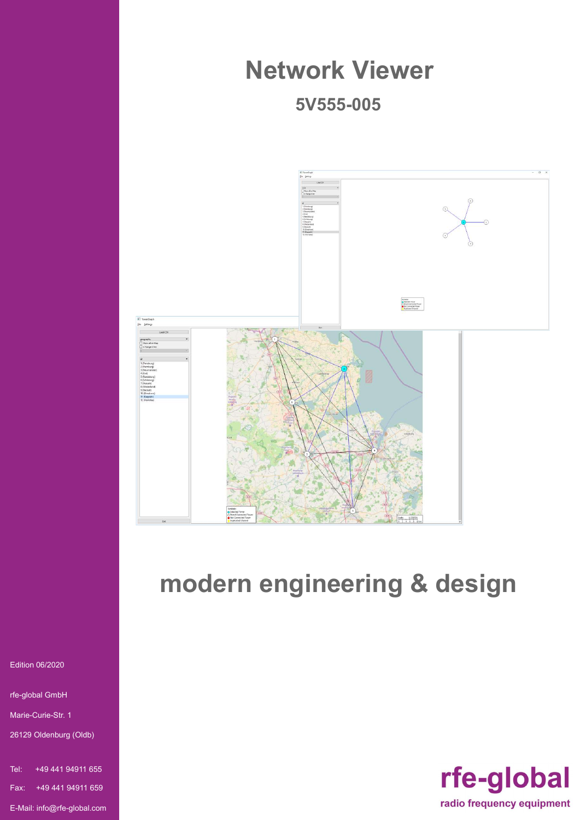

# modern engineering & design

rfe-global radio frequency equipment

Edition 06/2020

rfe-global GmbH

Marie-Curie-Str. 1

26129 Oldenburg (Oldb)

Tel: +49 441 94911 655 Fax: +49 441 94911 659 E-Mail: info@rfe-global.com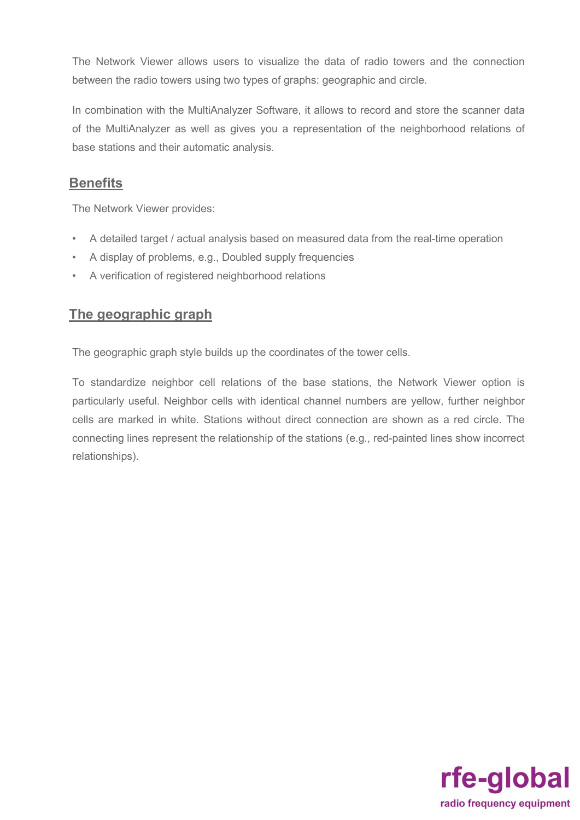The Network Viewer allows users to visualize the data of radio towers and the connection between the radio towers using two types of graphs: geographic and circle.

In combination with the MultiAnalyzer Software, it allows to record and store the scanner data of the MultiAnalyzer as well as gives you a representation of the neighborhood relations of base stations and their automatic analysis.

#### **Benefits**

The Network Viewer provides:

- A detailed target / actual analysis based on measured data from the real-time operation
- A display of problems, e.g., Doubled supply frequencies
- A verification of registered neighborhood relations

#### The geographic graph

The geographic graph style builds up the coordinates of the tower cells.

To standardize neighbor cell relations of the base stations, the Network Viewer option is particularly useful. Neighbor cells with identical channel numbers are yellow, further neighbor cells are marked in white. Stations without direct connection are shown as a red circle. The connecting lines represent the relationship of the stations (e.g., red-painted lines show incorrect relationships).

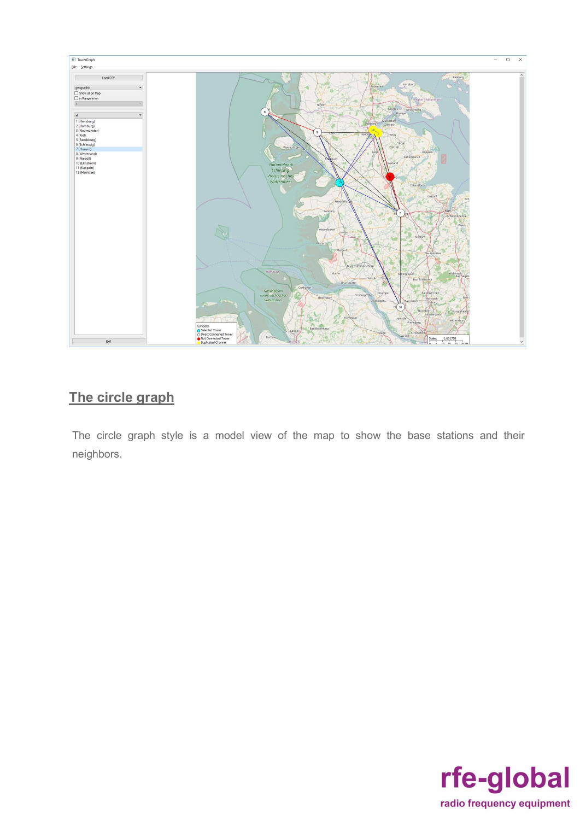

### The circle graph

The circle graph style is a model view of the map to show the base stations and their neighbors.

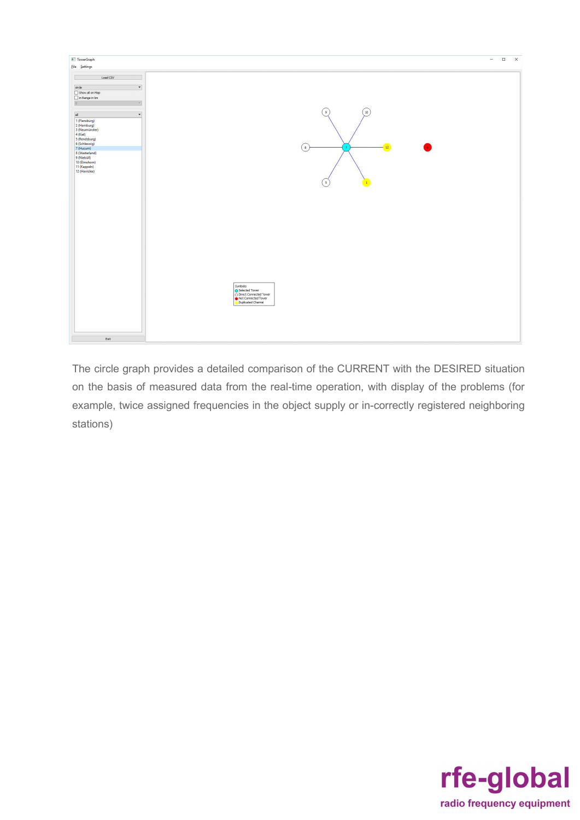

The circle graph provides a detailed comparison of the CURRENT with the DESIRED situation on the basis of measured data from the real-time operation, with display of the problems (for example, twice assigned frequencies in the object supply or in-correctly registered neighboring stations)